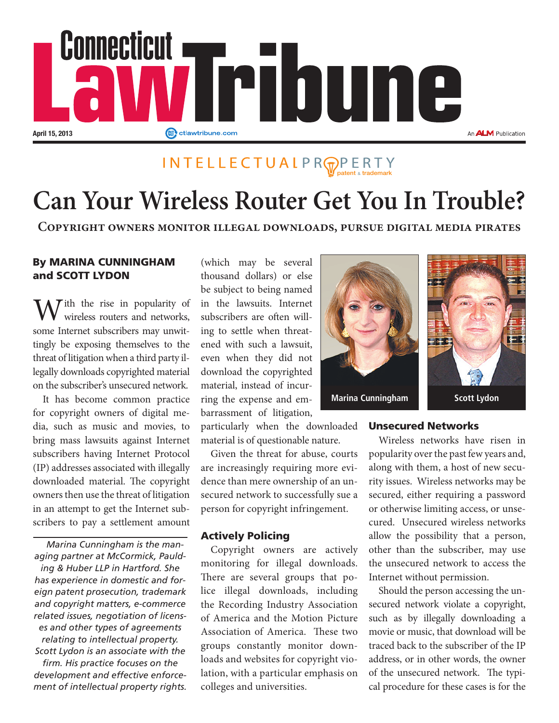

### INTELLECTUALPR<sub>PPERTY</sub>

## **Can Your Wireless Router Get You In Trouble?**

**Copyright owners monitor illegal downloads, pursue digital media pirates**

#### By MARINA CUNNINGHAM and SCOTT LYDON

 $\mathcal{T}$  ith the rise in popularity of wireless routers and networks, some Internet subscribers may unwittingly be exposing themselves to the threat of litigation when a third party illegally downloads copyrighted material on the subscriber's unsecured network.

It has become common practice for copyright owners of digital media, such as music and movies, to bring mass lawsuits against Internet subscribers having Internet Protocol (IP) addresses associated with illegally downloaded material. The copyright owners then use the threat of litigation in an attempt to get the Internet subscribers to pay a settlement amount

*Marina Cunningham is the managing partner at McCormick, Paulding & Huber LLP in Hartford. She has experience in domestic and foreign patent prosecution, trademark and copyright matters, e-commerce related issues, negotiation of licenses and other types of agreements relating to intellectual property. Scott Lydon is an associate with the firm. His practice focuses on the development and effective enforcement of intellectual property rights.*

(which may be several thousand dollars) or else be subject to being named in the lawsuits. Internet subscribers are often willing to settle when threatened with such a lawsuit, even when they did not download the copyrighted material, instead of incurring the expense and embarrassment of litigation,

particularly when the downloaded material is of questionable nature.

Given the threat for abuse, courts are increasingly requiring more evidence than mere ownership of an unsecured network to successfully sue a person for copyright infringement.

#### Actively Policing

Copyright owners are actively monitoring for illegal downloads. There are several groups that police illegal downloads, including the Recording Industry Association of America and the Motion Picture Association of America. These two groups constantly monitor downloads and websites for copyright violation, with a particular emphasis on colleges and universities.



#### Unsecured Networks

Wireless networks have risen in popularity over the past few years and, along with them, a host of new security issues. Wireless networks may be secured, either requiring a password or otherwise limiting access, or unsecured. Unsecured wireless networks allow the possibility that a person, other than the subscriber, may use the unsecured network to access the Internet without permission.

Should the person accessing the unsecured network violate a copyright, such as by illegally downloading a movie or music, that download will be traced back to the subscriber of the IP address, or in other words, the owner of the unsecured network. The typical procedure for these cases is for the